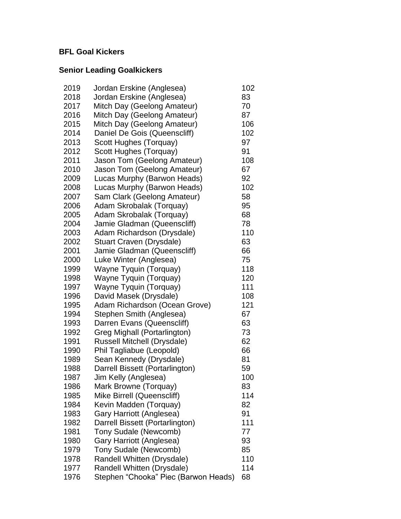#### **BFL Goal Kickers**

### **Senior Leading Goalkickers**

| 2019 | Jordan Erskine (Anglesea)            | 102 |
|------|--------------------------------------|-----|
| 2018 | Jordan Erskine (Anglesea)            | 83  |
| 2017 | Mitch Day (Geelong Amateur)          | 70  |
| 2016 | Mitch Day (Geelong Amateur)          | 87  |
| 2015 | Mitch Day (Geelong Amateur)          | 106 |
| 2014 | Daniel De Gois (Queenscliff)         | 102 |
| 2013 | Scott Hughes (Torquay)               | 97  |
| 2012 | Scott Hughes (Torquay)               | 91  |
| 2011 | Jason Tom (Geelong Amateur)          | 108 |
| 2010 | Jason Tom (Geelong Amateur)          | 67  |
| 2009 | Lucas Murphy (Barwon Heads)          | 92  |
| 2008 | Lucas Murphy (Barwon Heads)          | 102 |
| 2007 | Sam Clark (Geelong Amateur)          | 58  |
| 2006 | Adam Skrobalak (Torquay)             | 95  |
| 2005 | Adam Skrobalak (Torquay)             | 68  |
| 2004 | Jamie Gladman (Queenscliff)          | 78  |
| 2003 | Adam Richardson (Drysdale)           | 110 |
| 2002 | Stuart Craven (Drysdale)             | 63  |
| 2001 | Jamie Gladman (Queenscliff)          | 66  |
| 2000 | Luke Winter (Anglesea)               | 75  |
| 1999 | Wayne Tyquin (Torquay)               | 118 |
| 1998 | Wayne Tyquin (Torquay)               | 120 |
| 1997 | Wayne Tyquin (Torquay)               | 111 |
| 1996 | David Masek (Drysdale)               | 108 |
| 1995 | Adam Richardson (Ocean Grove)        | 121 |
| 1994 | Stephen Smith (Anglesea)             | 67  |
| 1993 | Darren Evans (Queenscliff)           | 63  |
| 1992 | Greg Mighall (Portarlington)         | 73  |
| 1991 | Russell Mitchell (Drysdale)          | 62  |
| 1990 | Phil Tagliabue (Leopold)             | 66  |
| 1989 | Sean Kennedy (Drysdale)              | 81  |
| 1988 | Darrell Bissett (Portarlington)      | 59  |
| 1987 | Jim Kelly (Anglesea)                 | 100 |
| 1986 | Mark Browne (Torquay)                | 83  |
| 1985 | Mike Birrell (Queenscliff)           | 114 |
| 1984 | Kevin Madden (Torquay)               | 82  |
| 1983 | Gary Harriott (Anglesea)             | 91  |
| 1982 | Darrell Bissett (Portarlington)      | 111 |
| 1981 | Tony Sudale (Newcomb)                | 77  |
| 1980 | Gary Harriott (Anglesea)             | 93  |
| 1979 | Tony Sudale (Newcomb)                | 85  |
| 1978 | Randell Whitten (Drysdale)           | 110 |
| 1977 | Randell Whitten (Drysdale)           | 114 |
| 1976 | Stephen "Chooka" Piec (Barwon Heads) | 68  |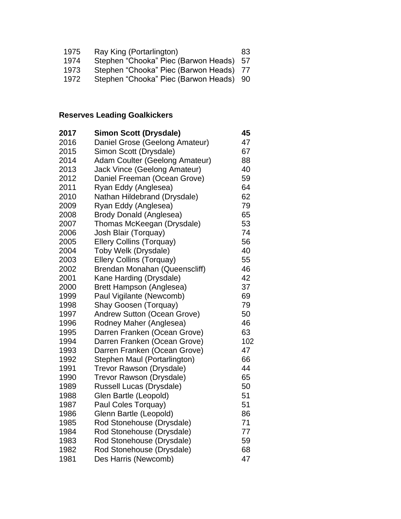| 1975 | Ray King (Portarlington)                | 83. |
|------|-----------------------------------------|-----|
| 1974 | Stephen "Chooka" Piec (Barwon Heads) 57 |     |
| 1973 | Stephen "Chooka" Piec (Barwon Heads) 77 |     |
| 1972 | Stephen "Chooka" Piec (Barwon Heads) 90 |     |

# **Reserves Leading Goalkickers**

| 2017 | <b>Simon Scott (Drysdale)</b>   | 45  |
|------|---------------------------------|-----|
| 2016 | Daniel Grose (Geelong Amateur)  | 47  |
| 2015 | Simon Scott (Drysdale)          | 67  |
| 2014 | Adam Coulter (Geelong Amateur)  | 88  |
| 2013 | Jack Vince (Geelong Amateur)    | 40  |
| 2012 | Daniel Freeman (Ocean Grove)    | 59  |
| 2011 | Ryan Eddy (Anglesea)            | 64  |
| 2010 | Nathan Hildebrand (Drysdale)    | 62  |
| 2009 | Ryan Eddy (Anglesea)            | 79  |
| 2008 | Brody Donald (Anglesea)         | 65  |
| 2007 | Thomas McKeegan (Drysdale)      | 53  |
| 2006 | Josh Blair (Torquay)            | 74  |
| 2005 | <b>Ellery Collins (Torquay)</b> | 56  |
| 2004 | Toby Welk (Drysdale)            | 40  |
| 2003 | <b>Ellery Collins (Torquay)</b> | 55  |
| 2002 | Brendan Monahan (Queenscliff)   | 46  |
| 2001 | Kane Harding (Drysdale)         | 42  |
| 2000 | Brett Hampson (Anglesea)        | 37  |
| 1999 | Paul Vigilante (Newcomb)        | 69  |
| 1998 | Shay Goosen (Torquay)           | 79  |
| 1997 | Andrew Sutton (Ocean Grove)     | 50  |
| 1996 | Rodney Maher (Anglesea)         | 46  |
| 1995 | Darren Franken (Ocean Grove)    | 63  |
| 1994 | Darren Franken (Ocean Grove)    | 102 |
| 1993 | Darren Franken (Ocean Grove)    | 47  |
| 1992 | Stephen Maul (Portarlington)    | 66  |
| 1991 | Trevor Rawson (Drysdale)        | 44  |
| 1990 | Trevor Rawson (Drysdale)        | 65  |
| 1989 | Russell Lucas (Drysdale)        | 50  |
| 1988 | Glen Bartle (Leopold)           | 51  |
| 1987 | Paul Coles Torquay)             | 51  |
| 1986 | Glenn Bartle (Leopold)          | 86  |
| 1985 | Rod Stonehouse (Drysdale)       | 71  |
| 1984 | Rod Stonehouse (Drysdale)       | 77  |
| 1983 | Rod Stonehouse (Drysdale)       | 59  |
| 1982 | Rod Stonehouse (Drysdale)       | 68  |
| 1981 | Des Harris (Newcomb)            | 47  |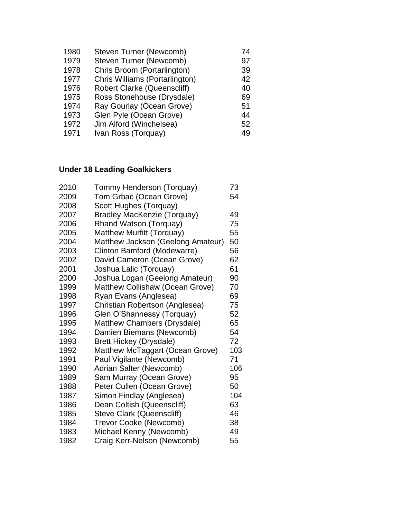| Steven Turner (Newcomb)            | 74 |
|------------------------------------|----|
| Steven Turner (Newcomb)            | 97 |
| Chris Broom (Portarlington)        | 39 |
| Chris Williams (Portarlington)     | 42 |
| <b>Robert Clarke (Queenscliff)</b> | 40 |
| Ross Stonehouse (Drysdale)         | 69 |
| Ray Gourlay (Ocean Grove)          | 51 |
| Glen Pyle (Ocean Grove)            | 44 |
| Jim Alford (Winchelsea)            | 52 |
| Ivan Ross (Torquay)                | 49 |
|                                    |    |

# **Under 18 Leading Goalkickers**

| 2010 | Tommy Henderson (Torquay)          | 73  |
|------|------------------------------------|-----|
| 2009 | Tom Grbac (Ocean Grove)            | 54  |
| 2008 | Scott Hughes (Torquay)             |     |
| 2007 | <b>Bradley MacKenzie (Torquay)</b> | 49  |
| 2006 | Rhand Watson (Torquay)             | 75  |
| 2005 | Matthew Murfitt (Torquay)          | 55  |
| 2004 | Matthew Jackson (Geelong Amateur)  | 50  |
| 2003 | Clinton Bamford (Modewarre)        | 56  |
| 2002 | David Cameron (Ocean Grove)        | 62  |
| 2001 | Joshua Lalic (Torquay)             | 61  |
| 2000 | Joshua Logan (Geelong Amateur)     | 90  |
| 1999 | Matthew Collishaw (Ocean Grove)    | 70  |
| 1998 | Ryan Evans (Anglesea)              | 69  |
| 1997 | Christian Robertson (Anglesea)     | 75  |
| 1996 | Glen O'Shannessy (Torquay)         | 52  |
| 1995 | Matthew Chambers (Drysdale)        | 65  |
| 1994 | Damien Biemans (Newcomb)           | 54  |
| 1993 | <b>Brett Hickey (Drysdale)</b>     | 72  |
| 1992 | Matthew McTaggart (Ocean Grove)    | 103 |
| 1991 | Paul Vigilante (Newcomb)           | 71  |
| 1990 | Adrian Salter (Newcomb)            | 106 |
| 1989 | Sam Murray (Ocean Grove)           | 95  |
| 1988 | Peter Cullen (Ocean Grove)         | 50  |
| 1987 | Simon Findlay (Anglesea)           | 104 |
| 1986 | Dean Coltish (Queenscliff)         | 63  |
| 1985 | <b>Steve Clark (Queenscliff)</b>   | 46  |
| 1984 | Trevor Cooke (Newcomb)             | 38  |
| 1983 | Michael Kenny (Newcomb)            | 49  |
| 1982 | Craig Kerr-Nelson (Newcomb)        | 55  |